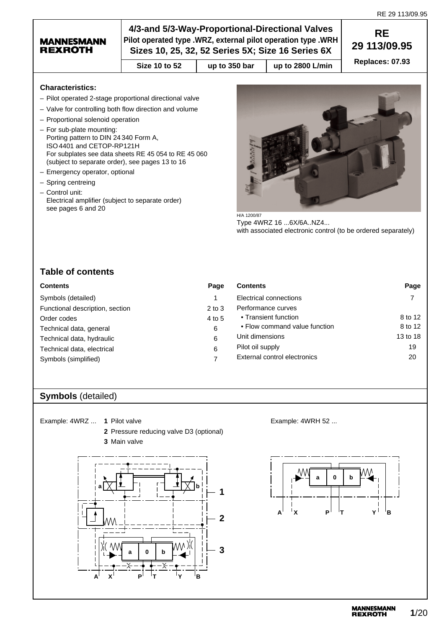## **MANNESMANN REXROTH**

# **4/3-and 5/3-Way-Proportional-Directional Valves Pilot operated type .WRZ, external pilot operation type .WRH Sizes 10, 25, 32, 52 Series 5X; Size 16 Series 6X**

**Size 10 to 52** | up to 350 bar | up to 2800 L/min

**RE 29 113/09.95 Replaces: 07.93**

## **Characteristics:**

- Pilot operated 2-stage proportional directional valve
- Valve for controlling both flow direction and volume
- Proportional solenoid operation
- For sub-plate mounting: Porting pattern to DIN 24 340 Form A, ISO4401 and CETOP-RP121H For subplates see data sheets RE 45 054 to RE 45 060 (subject to separate order), see pages 13 to 16
- Emergency operator, optional
- Spring centreing
- Control unit:
- Electrical amplifier (subject to separate order) see pages 6 and 20



H/A 1200/87 Type 4WRZ 16 ...6X/6A..NZ4... with associated electronic control (to be ordered separately)

# **Table of contents**

| <b>Contents</b>                 | Page       |
|---------------------------------|------------|
| Symbols (detailed)              | 1          |
| Functional description, section | $2$ to $3$ |
| Order codes                     | 4 to 5     |
| Technical data, general         | 6          |
| Technical data, hydraulic       | 6          |
| Technical data, electrical      | 6          |
| Symbols (simplified)            |            |

|   | <b>Contents</b>               | Page     |
|---|-------------------------------|----------|
|   | Electrical connections        |          |
| 3 | Performance curves            |          |
| 5 | • Transient function          | 8 to 12  |
|   | • Flow command value function | 8 to 12  |
|   | Unit dimensions               | 13 to 18 |
|   | Pilot oil supply              | 19       |
|   | External control electronics  | 20       |
|   |                               |          |

# **Symbols** (detailed)

Example: 4WRZ ... **1** Pilot valve

**2** Pressure reducing valve D3 (optional) **3** Main valve



Example: 4WRH 52 ...

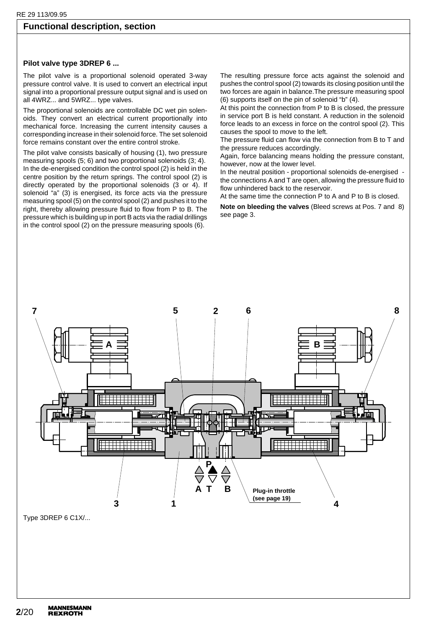## **Functional description, section**

### **Pilot valve type 3DREP 6 ...**

The pilot valve is a proportional solenoid operated 3-way pressure control valve. It is used to convert an electrical input signal into a proportional pressure output signal and is used on all 4WRZ... and 5WRZ... type valves.

The proportional solenoids are controllable DC wet pin solenoids. They convert an electrical current proportionally into mechanical force. Increasing the current intensity causes a corresponding increase in their solenoid force. The set solenoid force remains constant over the entire control stroke.

The pilot valve consists basically of housing (1), two pressure measuring spools (5; 6) and two proportional solenoids (3; 4). In the de-energised condition the control spool (2) is held in the centre position by the return springs. The control spool (2) is directly operated by the proportional solenoids (3 or 4). If solenoid "a" (3) is energised, its force acts via the pressure measuring spool (5) on the control spool (2) and pushes it to the right, thereby allowing pressure fluid to flow from P to B. The pressure which is building up in port B acts via the radial drillings in the control spool (2) on the pressure measuring spools (6).

The resulting pressure force acts against the solenoid and pushes the control spool (2) towards its closing position until the two forces are again in balance.The pressure measuring spool (6) supports itself on the pin of solenoid "b" (4).

At this point the connection from P to B is closed, the pressure in service port B is held constant. A reduction in the solenoid force leads to an excess in force on the control spool (2). This causes the spool to move to the left.

The pressure fluid can flow via the connection from B to T and the pressure reduces accordingly.

Again, force balancing means holding the pressure constant, however, now at the lower level.

In the neutral position - proportional solenoids de-energised the connections A and T are open, allowing the pressure fluid to flow unhindered back to the reservoir.

At the same time the connection P to A and P to B is closed.

**Note on bleeding the valves** (Bleed screws at Pos. 7 and 8) see page 3.

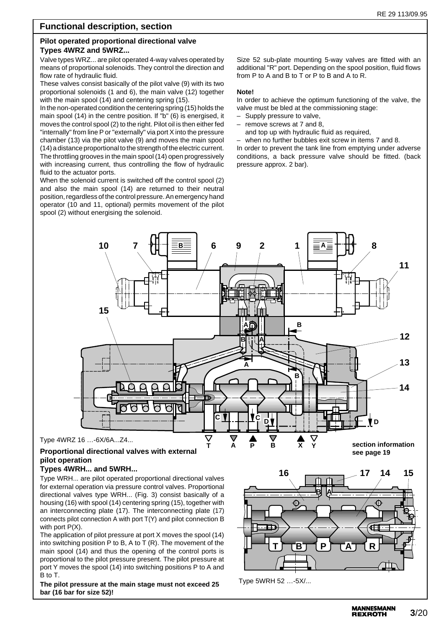## **Functional description, section**

## **Pilot operated proportional directional valve Types 4WRZ and 5WRZ...**

Valve types WRZ... are pilot operated 4-way valves operated by means of proportional solenoids. They control the direction and flow rate of hydraulic fluid.

These valves consist basically of the pilot valve (9) with its two proportional solenoids (1 and 6), the main valve (12) together with the main spool (14) and centering spring (15).

In the non-operated condition the centering spring (15) holds the main spool (14) in the centre position. If "b" (6) is energised, it moves the control spool (2) to the right. Pilot oil is then either fed "internally" from line P or "externally" via port X into the pressure chamber (13) via the pilot valve (9) and moves the main spool (14) a distance proportional to the strength of the electric current. The throttling grooves in the main spool (14) open progressively with increasing current, thus controlling the flow of hydraulic fluid to the actuator ports.

When the solenoid current is switched off the control spool (2) and also the main spool (14) are returned to their neutral position, regardless of the control pressure. An emergency hand operator (10 and 11, optional) permits movement of the pilot spool (2) without energising the solenoid.

Size 52 sub-plate mounting 5-way valves are fitted with an additional "R" port. Depending on the spool position, fluid flows from P to A and B to T or P to B and A to R.

### **Note!**

In order to achieve the optimum functioning of the valve, the valve must be bled at the commissioning stage:

- Supply pressure to valve,
- remove screws at 7 and 8,
- and top up with hydraulic fluid as required,

when no further bubbles exit screw in items 7 and 8. In order to prevent the tank line from emptying under adverse conditions, a back pressure valve should be fitted. (back pressure approx. 2 bar).



# **Proportional directional valves with external pilot operation**

## **Types 4WRH... and 5WRH...**

Type WRH... are pilot operated proportional directional valves for external operation via pressure control valves. Proportional directional valves type WRH... (Fig. 3) consist basically of a housing (16) with spool (14) centering spring (15), together with an interconnecting plate (17). The interconnecting plate (17) connects pilot connection A with port T(Y) and pilot connection B with port P(X).

The application of pilot pressure at port X moves the spool (14) into switching position P to B, A to T (R). The movement of the main spool (14) and thus the opening of the control ports is proportional to the pilot pressure present. The pilot pressure at port Y moves the spool (14) into switching positions P to A and B to T.

**The pilot pressure at the main stage must not exceed 25 bar (16 bar for size 52)!**



Type 5WRH 52 …-5X/...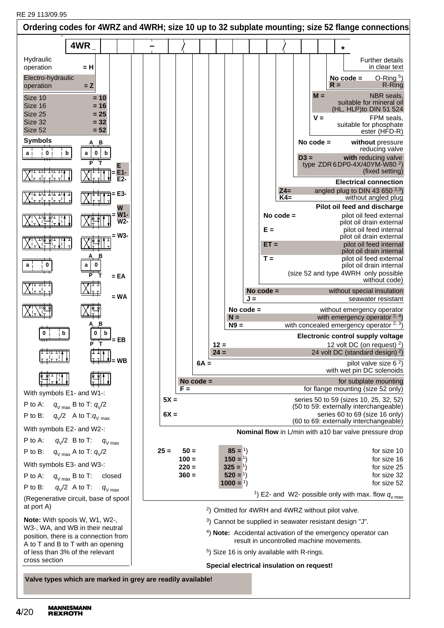| Ordering codes for 4WRZ and 4WRH; size 10 up to 32 subplate mounting; size 52 flange connections                                                                                                                                                                                                |                                       |  |                                                   |                       |                  |                                                                                                                                                             |     |                          |                                           |        |                               |       |                                                                                                                                       |                                                                                                                                                                                                                                                                                                                                                                                                  |
|-------------------------------------------------------------------------------------------------------------------------------------------------------------------------------------------------------------------------------------------------------------------------------------------------|---------------------------------------|--|---------------------------------------------------|-----------------------|------------------|-------------------------------------------------------------------------------------------------------------------------------------------------------------|-----|--------------------------|-------------------------------------------|--------|-------------------------------|-------|---------------------------------------------------------------------------------------------------------------------------------------|--------------------------------------------------------------------------------------------------------------------------------------------------------------------------------------------------------------------------------------------------------------------------------------------------------------------------------------------------------------------------------------------------|
| 4WR                                                                                                                                                                                                                                                                                             |                                       |  |                                                   |                       |                  |                                                                                                                                                             |     |                          |                                           |        |                               | *     |                                                                                                                                       |                                                                                                                                                                                                                                                                                                                                                                                                  |
| Hydraulic<br>operation<br>= H<br>Electro-hydraulic<br>$= Z$<br>operation<br>Size 10<br>$= 10$<br>Size 16<br>$= 16$<br>Size 25<br>$= 25$<br>Size 32<br>$= 32$<br>Size 52<br>$= 52$<br><b>Symbols</b><br>в<br>$\mathbf{0}$<br>b<br>a<br>0<br>b<br>a                                               | Е<br>$E1-$<br>$E2-$<br>= Е3-          |  |                                                   |                       |                  |                                                                                                                                                             |     |                          | $Z4=$                                     | $D3 =$ | $M =$<br>$V =$<br>No code $=$ | $R =$ | No $code =$                                                                                                                           | <b>Further details</b><br>in clear text<br>$O-Ring5$<br>R-Ring<br>NBR seals,<br>suitable for mineral oil<br>(HL, HLP)to DIN 51 524<br>FPM seals,<br>suitable for phosphate<br>ester (HFD-R)<br>without pressure<br>reducing valve<br>with reducing valve<br>type ZDR 6 DP0-4X/40YM-W80 <sup>2</sup> )<br>(fixed setting)<br><b>Electrical connection</b><br>angled plug to DIN 43 650 $^{2,3}$ ) |
| 0                                                                                                                                                                                                                                                                                               | W<br>W1-<br>$W2 -$<br>= W3-<br>$= EA$ |  |                                                   |                       |                  |                                                                                                                                                             |     | $E =$<br>$ET =$<br>$T =$ | $K4=$<br>No code $=$                      |        |                               |       |                                                                                                                                       | without angled plug<br>Pilot oil feed and discharge<br>pilot oil feed external<br>pilot oil drain external<br>pilot oil feed internal<br>pilot oil drain external<br>pilot oil feed internal<br>pilot oil drain internal<br>pilot oil feed external<br>pilot oil drain internal<br>(size 52 and type 4WRH only possible<br>without code)                                                         |
| В<br>b<br>b<br>للغلبطيا<br><del>ॉरसम</del> ी                                                                                                                                                                                                                                                    | $= WA$<br>= EB                        |  |                                                   |                       | $12 =$<br>$24 =$ | No code $=$<br>$N =$<br>$N9 =$                                                                                                                              | J = | No $code =$              |                                           |        |                               |       |                                                                                                                                       | without special insulation<br>seawater resistant<br>without emergency operator<br>with emergency operator $2, 4$ )<br>with concealed emergency operator $2, 3$ )<br>Electronic control supply voltage<br>12 volt DC (on request) $2$ )<br>24 volt DC (standard design) <sup>2</sup> )                                                                                                            |
| With symbols E1- and W1-:<br>P to A:<br>$q_{V \text{ max}}$ B to T: $q_{V}/2$<br>P to B:<br>$q_{\text{V}}/2$ A to T: $q_{\text{V}}$ <sub>max</sub>                                                                                                                                              |                                       |  | $F =$<br>$5X =$<br>$6X =$                         | $6A =$<br>No code $=$ |                  |                                                                                                                                                             |     |                          |                                           |        |                               |       |                                                                                                                                       | pilot valve size $62$ )<br>with wet pin DC solenoids<br>for subplate mounting<br>for flange mounting (size 52 only)<br>series 50 to 59 (sizes 10, 25, 32, 52)<br>(50 to 59: externally interchangeable)<br>series 60 to 69 (size 16 only)<br>(60 to 69: externally interchangeable)                                                                                                              |
| With symbols E2- and W2-:<br>P to A:<br>$q_{\text{V}}/2$ B to T: $q_{\text{V max}}$<br>P to B:<br>$q_{V \text{max}}$ A to T: $q_{V}/2$<br>With symbols E3- and W3-:<br>P to A:<br>$q_{V \text{ max}}$ B to T:<br>$q_{\rm V}$ /2 A to T:<br>$P$ to $B$ :<br>(Regenerative circuit, base of spool | closed<br>$q_{V \text{ max}}$         |  | $25 =$<br>$50 =$<br>$100 =$<br>$220 =$<br>$360 =$ |                       |                  | $85 = 1$<br>$150 = 1$<br>$325 = 1$<br>$520 = 1$<br>$1000 = 1$                                                                                               |     |                          |                                           |        |                               |       |                                                                                                                                       | Nominal flow in L/min with a10 bar valve pressure drop<br>for size 10<br>for size 16<br>for size 25<br>for size 32<br>for size 52<br><sup>1</sup> ) E2- and W2- possible only with max. flow $q_{v \text{ max}}$                                                                                                                                                                                 |
| at port A)<br>Note: With spools W, W1, W2-,<br>W3-, WA, and WB in their neutral<br>position, there is a connection from<br>A to T and B to T with an opening<br>of less than 3% of the relevant<br>cross section<br>Valve types which are marked in grey are readily available!                 |                                       |  |                                                   |                       |                  | <sup>2</sup> ) Omitted for 4WRH and 4WRZ without pilot valve.<br>$5$ ) Size 16 is only available with R-rings.<br>Special electrical insulation on request! |     |                          | result in uncontrolled machine movements. |        |                               |       | <sup>3</sup> ) Cannot be supplied in seawater resistant design "J".<br>$4)$ Note: Accidental activation of the emergency operator can |                                                                                                                                                                                                                                                                                                                                                                                                  |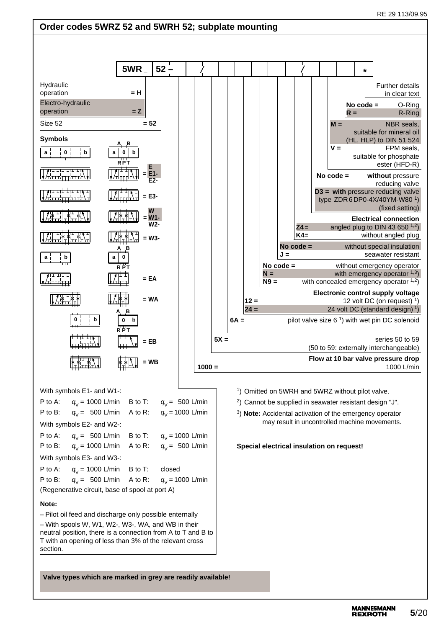# **Order codes 5WRZ 52 and 5WRH 52; subplate mounting**

|                                                                                                                                                                                           | 5WR                     | $52 -$           |                                         |        |                                                                     |        |             |             |             |             | $\star$ |                                                                                                                       |
|-------------------------------------------------------------------------------------------------------------------------------------------------------------------------------------------|-------------------------|------------------|-----------------------------------------|--------|---------------------------------------------------------------------|--------|-------------|-------------|-------------|-------------|---------|-----------------------------------------------------------------------------------------------------------------------|
| Hydraulic<br>operation<br>Electro-hydraulic                                                                                                                                               | $= H$                   |                  |                                         |        |                                                                     |        |             |             |             | $No code =$ |         | <b>Further details</b><br>in clear text<br>O-Ring                                                                     |
| operation<br>Size 52                                                                                                                                                                      | $= 2$                   | $= 52$           |                                         |        |                                                                     |        |             |             | $M =$       | $R =$       |         | R-Ring<br><b>NBR</b> seals.                                                                                           |
| <b>Symbols</b>                                                                                                                                                                            |                         |                  |                                         |        |                                                                     |        |             |             |             |             |         | suitable for mineral oil<br>(HL, HLP) to DIN 51 524                                                                   |
| 0<br>b<br>a                                                                                                                                                                               | <b>RPT</b>              |                  |                                         |        |                                                                     |        |             |             | $V =$       |             |         | FPM seals,<br>suitable for phosphate<br>ester (HFD-R)                                                                 |
| <u>ת דוד דוד ד</u>                                                                                                                                                                        |                         | $E1 -$<br>$E2 -$ |                                         |        |                                                                     |        |             |             | No $code =$ |             |         | without pressure<br>reducing valve                                                                                    |
| <b>गा</b> गां गां गे∤ ग                                                                                                                                                                   |                         | $=$ E3-          |                                         |        |                                                                     |        |             |             |             |             |         | $D3 =$ with pressure reducing valve<br>type ZDR 6DP0-4X/40YM-W80 <sup>1</sup> )<br>(fixed setting)                    |
|                                                                                                                                                                                           |                         | W1-<br>$W2-$     |                                         |        |                                                                     |        |             | $Z4=$       |             |             |         | <b>Electrical connection</b><br>angled plug to DIN 43 650 $^{1,2}$ )                                                  |
|                                                                                                                                                                                           |                         | = W3-            |                                         |        |                                                                     |        |             | $K4=$       |             |             |         | without angled plug                                                                                                   |
| b<br>a                                                                                                                                                                                    | 0                       |                  |                                         |        |                                                                     |        | $J =$       | No code $=$ |             |             |         | without special insulation<br>seawater resistant                                                                      |
|                                                                                                                                                                                           | $\overrightarrow{R}$ PT | $= EA$           |                                         |        |                                                                     | $N =$  | No code $=$ |             |             |             |         | without emergency operator<br>with emergency operator $1,3$ )                                                         |
|                                                                                                                                                                                           |                         |                  |                                         |        |                                                                     | $N9 =$ |             |             |             |             |         | with concealed emergency operator $1,2$ )<br>Electronic control supply voltage                                        |
|                                                                                                                                                                                           |                         | $= WA$           |                                         |        | $12 =$<br>$24 =$                                                    |        |             |             |             |             |         | 12 volt DC (on request) $1$ )<br>24 volt DC (standard design) 1)                                                      |
| b                                                                                                                                                                                         | $\Omega$                |                  |                                         |        | $6A =$                                                              |        |             |             |             |             |         | pilot valve size $61$ ) with wet pin DC solenoid                                                                      |
|                                                                                                                                                                                           | <b>RPT</b>              | $=$ EB           |                                         | $5X =$ |                                                                     |        |             |             |             |             |         | series 50 to 59<br>(50 to 59: externally interchangeable)                                                             |
|                                                                                                                                                                                           |                         | WB               | $1000 =$                                |        |                                                                     |        |             |             |             |             |         | Flow at 10 bar valve pressure drop<br>1000 L/min                                                                      |
| With symbols E1- and W1-:                                                                                                                                                                 |                         |                  |                                         |        | <sup>1</sup> ) Omitted on 5WRH and 5WRZ without pilot valve.        |        |             |             |             |             |         |                                                                                                                       |
| P to A:<br>$q_{v}$ = 1000 L/min                                                                                                                                                           | B to T:                 |                  | $q_v = 500$ L/min                       |        | <sup>2</sup> ) Cannot be supplied in seawater resistant design "J". |        |             |             |             |             |         |                                                                                                                       |
| $q_v = 500$ L/min<br>P to B:<br>With symbols E2- and W2-:                                                                                                                                 | A to R:                 |                  | $q_v = 1000$ L/min                      |        |                                                                     |        |             |             |             |             |         | <sup>3</sup> ) Note: Accidental activation of the emergency operator<br>may result in uncontrolled machine movements. |
| P to A:<br>$q_v = 500$ L/min<br>$q_v$ = 1000 L/min<br>P to B:                                                                                                                             | B to T:<br>A to R:      |                  | $q_v = 1000$ L/min<br>$q_v = 500$ L/min |        | Special electrical insulation on request!                           |        |             |             |             |             |         |                                                                                                                       |
| With symbols E3- and W3-:                                                                                                                                                                 |                         |                  |                                         |        |                                                                     |        |             |             |             |             |         |                                                                                                                       |
| P to A:<br>$q_{v}$ = 1000 L/min<br>$q_v = 500$ L/min<br>P to B:                                                                                                                           | B to T:<br>A to R:      | closed           | $q_v = 1000$ L/min                      |        |                                                                     |        |             |             |             |             |         |                                                                                                                       |
| (Regenerative circuit, base of spool at port A)                                                                                                                                           |                         |                  |                                         |        |                                                                     |        |             |             |             |             |         |                                                                                                                       |
| Note:<br>- Pilot oil feed and discharge only possible enternally                                                                                                                          |                         |                  |                                         |        |                                                                     |        |             |             |             |             |         |                                                                                                                       |
| - With spools W, W1, W2-, W3-, WA, and WB in their<br>neutral position, there is a connection from A to T and B to<br>T with an opening of less than 3% of the relevant cross<br>section. |                         |                  |                                         |        |                                                                     |        |             |             |             |             |         |                                                                                                                       |
| Valve types which are marked in grey are readily available!                                                                                                                               |                         |                  |                                         |        |                                                                     |        |             |             |             |             |         |                                                                                                                       |

**MANNESMANN<br>REXROTH**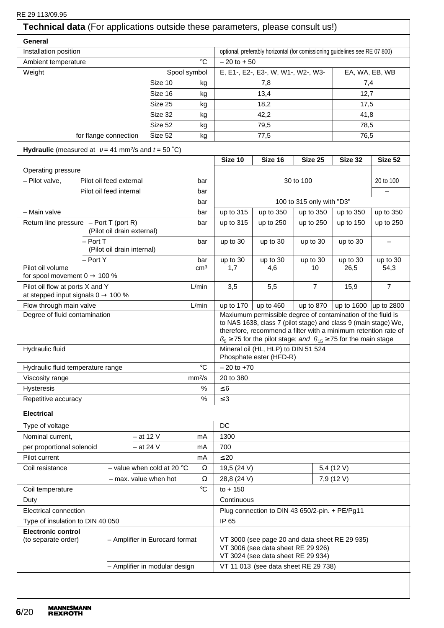**General** Installation position **optional** optional, preferably horizontal (for comissioning guidelines see RE 07 800) Ambient temperature  $\circ$   $\circ$   $\circ$   $\circ$   $\circ$   $\circ$   $\circ$  + 50 Weight Spool symbol | E, E1-, E2-, E3-, W, W1-, W2-, W3- | EA, WA, EB, WB Size 10 kg | 7,8 7,4 Size 16 kg | 13,4 12,7 Size 25 kg | 18,2 17,5 Size 32 kg | 42,2 41,8 Size 52 kg 79,5 and 78,5 for flange connection  $\overline{Size 52}$  kg  $\overline{77.5}$   $\overline{76.5}$  76.5 **Hydraulic** (measured at  $v = 41$  mm<sup>2</sup>/s and  $t = 50$  °C) **Size 10 Size 16 Size 25 Size 32 Size 52** Operating pressure – Pilot valve. Pilot oil feed external bar bar and bar 30 to 100 20 to 100 20 to 100 Pilot oil feed internal bar – bar – bar – bar – bar – bar – bar – bar – bar – bar – bar – bar – bar – bar – bar – bar – bar – bar – bar – bar – bar – bar – bar – bar – bar – bar – bar – bar – bar – bar – bar – bar – bar – bar  $\vert$  100 to 315 only with "D3" – Main valve bar up to 315 up to 350 up to 350 up to 350 up to 350 Return line pressure – Port T (port R) bar | up to 315 | up to 250 | up to 250 | up to 150 | up to 250 (Pilot oil drain external) – Port T bar up to 30 up to 30 up to 30 up to 30 – (Pilot oil drain internal) – Port Y bar up to 30 up to 30 up to 30 up to 30 up to 30 Pilot oil volume cm3 1,7 4,6 10 26,5 54,3 for spool movement  $0 \rightarrow 100 \%$ Pilot oil flow at ports X and Y L/min 3,5 5,5 7 15,9 7 at stepped input signals  $0 \rightarrow 100 \%$ Flow through main valve  $L/min \mid up$  to 170 | up to 460 | up to 1600 | up to 1600 | up to 2800 Degree of fluid contamination Maxiumum permissible degree of contamination of the fluid is to NAS 1638, class 7 (pilot stage) and class 9 (main stage) We, therefore, recommend a filter with a minimum retention rate of  $B<sub>5</sub> \ge 75$  for the pilot stage; and  $B<sub>15</sub> \ge 75$  for the main stage Hydraulic fluid **Mineral oil (HL, HLP)** to DIN 51 524 Phosphate ester (HFD-R) Hydraulic fluid temperature range  $\begin{vmatrix} \cdot & \cdot & \cdot \\ \cdot & \cdot & \cdot \\ \cdot & \cdot & \cdot \end{vmatrix}$  – 20 to +70 Viscosity range mm<sup>2</sup>/s 20 to 380 Hysteresis  $\%$   $\leq 6$ Repetitive accuracy  $\begin{array}{ccc} 8 & 1 \leq 3 \\ 1 & 3 \end{array}$ **Electrical** Type of voltage  $\Box$ Nominal current,  $-$  at 12 V mA 1300 per proportional solenoid  $-$  at 24 V mA  $\vert$  700 Pilot current mA  $\leq 20$ Coil resistance – value when cold at 20 °C  $\Omega$  19,5 (24 V) 5,4 (12 V) – max. value when hot  $\Omega$  28.8 (24 V) 7.9 (12 V) Coil temperature  $\circ$  C to + 150 Duty **Duty** Continuous Electrical connection Plug connection to DIN 43 650/2-pin. + PE/Pg11 Type of insulation to DIN 40 050 **Electronic control** (to separate order) – Amplifier in Eurocard format  $\vert$  VT 3000 (see page 20 and data sheet RE 29 935) VT 3006 (see data sheet RE 29 926) VT 3024 (see data sheet RE 29 934)  $-$  Amplifier in modular design  $\vert$  VT 11 013 (see data sheet RE 29 738) **Technical data** (For applications outside these parameters, please consult us!)

RE 29 113/09.95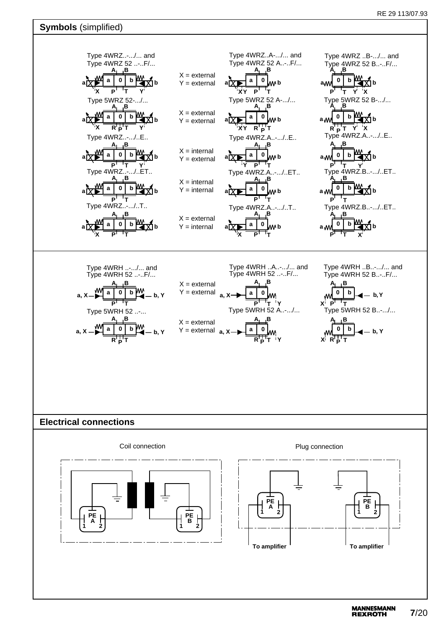# **Symbols** (simplified)

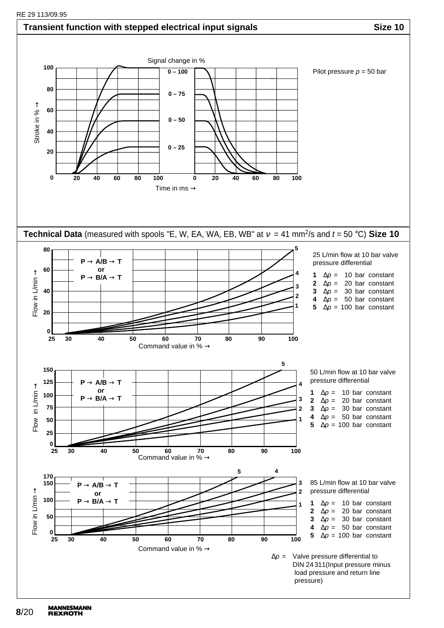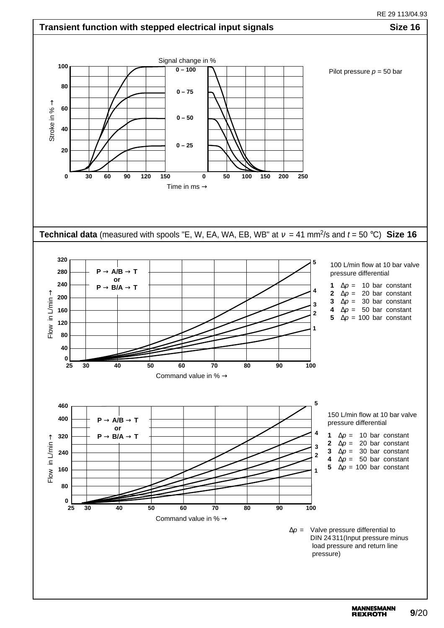RE 29 113/09.95 29 113/04.93



**MANNESMANN 9**/20 **REXROTH**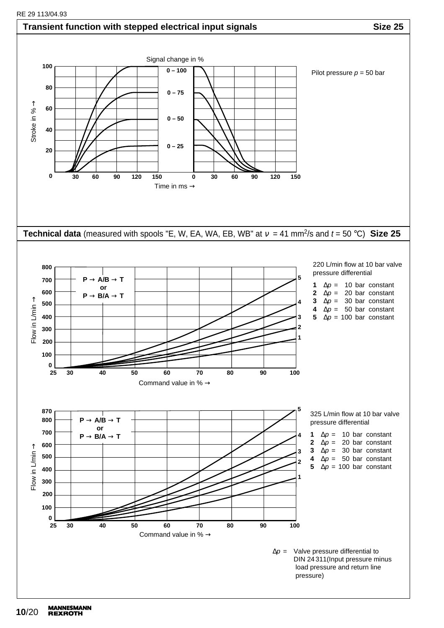#### **Transient function with stepped electrical input signals Size 25 Size 25** Signal change in % **100**  $0 - 100$ Pilot pressure  $p = 50$  bar **80 0 – 75** ↑ **60** Stroke in % **0 – 50 40 0 – 25 20 0 30 60 90 120 150 0 30 60 90 120 150** Time in ms  $\rightarrow$ **Technical data** (measured with spools "E, W, EA, WA, EB, WB" at  $v = 41$  mm<sup>2</sup>/s and  $t = 50$  °C) Size 25 220 L/min flow at 10 bar valve **800** pressure differential **5 P** → **A/B** → **T 700 1**  $\Delta p = 10$  bar constant **or 600 2**  $\Delta p = 20$  bar constant **P** → **B/A** → **T** ↑ **3**  $\Delta p = 30$  bar constant **4 500** Flow in L/min **4**  $\Delta p = 50$  bar constant **400 5**  $\Delta p = 100$  bar constant **3 2 300 1 200 100**  $\frac{0}{25}$ **25 30 40 50 60 70 80 90 100** Command value in %  $\rightarrow$ **5 870** 325 L/min flow at 10 bar valve **800 P** → **A/B** → **T** pressure differential **or 700 1**  $\Delta p = 10$  bar constant  $P \rightarrow B/A \rightarrow T$ **4 2**  $\Delta p = 20$  bar constant **600** →**3**  $\Delta p = 30$  bar constant **3** Flow in L/min Flow in L/min **500 4**  $\Delta p = 50$  bar constant **2 5**  $\Delta p = 100$  bar constant **400 1 300 200 100 0 25 30 40 50 60 70 80 90 100** Command value in %  $\rightarrow$  $\Delta p =$  Valve pressure differential to DIN 24 311(Input pressure minus load pressure and return line pressure)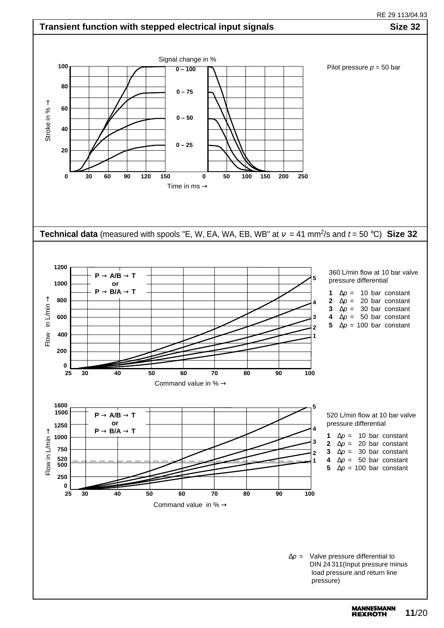RE 29 113/09.95 RE 29 113/04.93

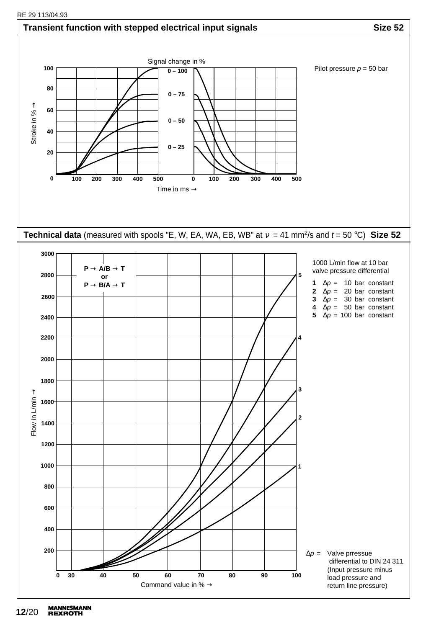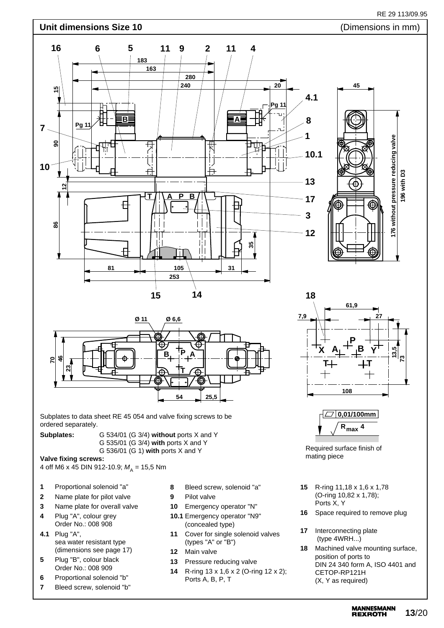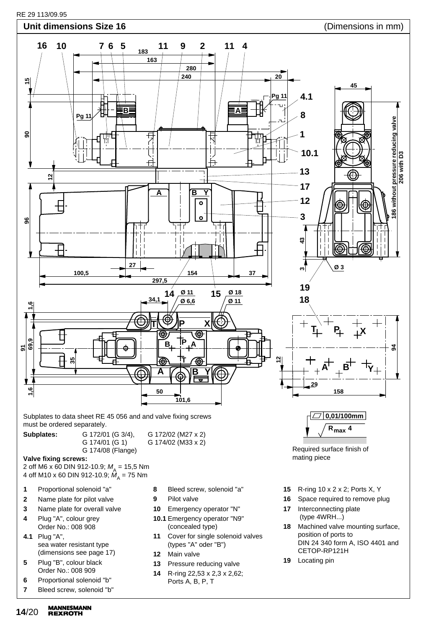

- **3** Name plate for overall valve **4** Plug "A", colour grey
- Order No.: 008 908 **4.1** Plug "A",
- sea water resistant type (dimensions see page 17)
- **5** Plug "B", colour black Order No.: 008 909
- **6** Proportional solenoid "b"
- **7** Bleed screw, solenoid "b"
- **10** Emergency operator "N"
- **10.1** Emergency operator "N9" (concealed type)
- **11** Cover for single solenoid valves (types "A" oder "B")
- **12** Main valve
- **13** Pressure reducing valve
- **14** R-ring 22,53 x 2,3 x 2,62; Ports A, B, P, T
- **17** Interconnecting plate (type 4WRH...)
- **18** Machined valve mounting surface, position of ports to DIN 24 340 form A, ISO 4401 and CETOP-RP121H
- **19** Locating pin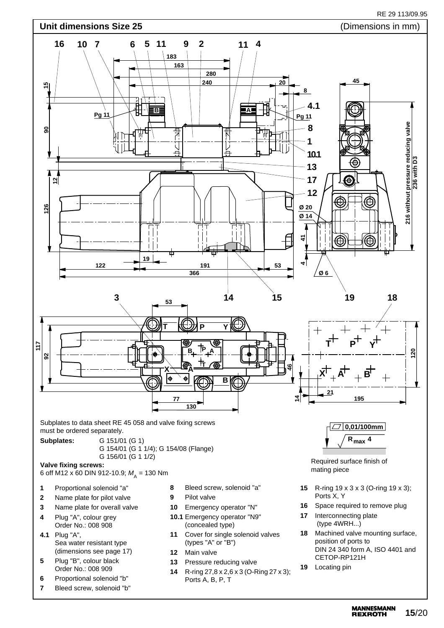

**MANNESMANN 15**/20 **REXROTH**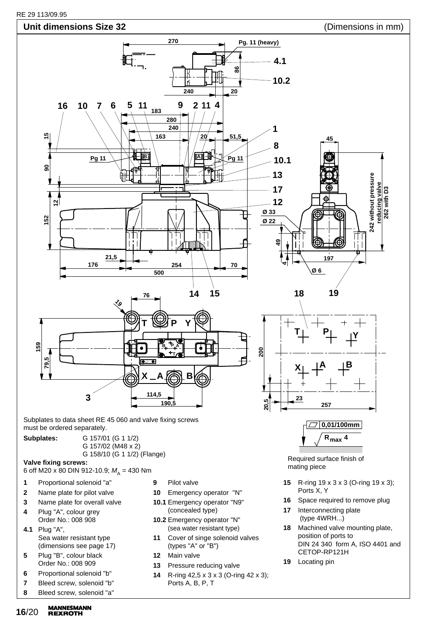

- **4** Plug "A", colour grey Order No.: 008 908
- **4.1** Plug "A", Sea water resistant type (dimensions see page 17)
- **5** Plug "B", colour black Order No.: 008 909
- **6** Proportional solenoid "b"
- **7** Bleed screw, solenoid "b"
- **8** Bleed screw, solenoid "a"
- **MANNESMANN 16**/20 **REXROTH**
- (concealed type)
- **10.2** Emergency operator "N" (sea water resistant type)
- **11** Cover of singe solenoid valves (types "A" or "B")
- **12** Main valve
- **13** Pressure reducing valve
- **14** R-ring 42,5 x 3 x 3 (O-ring 42 x 3); Ports A, B, P, T
- (type 4WRH...)
- **18** Machined valve mounting plate, position of ports to DIN 24 340 form A, ISO 4401 and CETOP-RP121H
- **19** Locating pin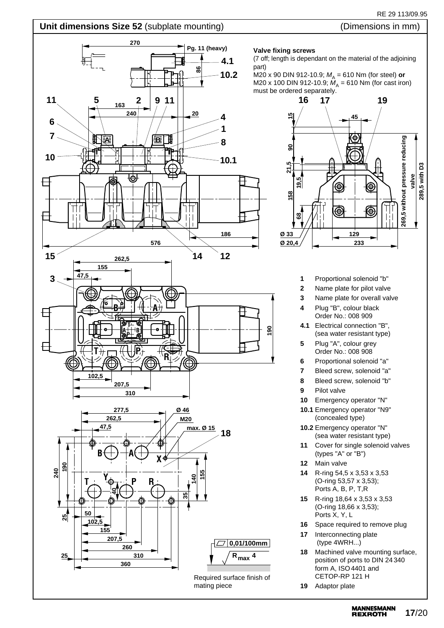## RE 29 113/09.95

# **Unit dimensions Size 52** (subplate mounting) (Dimensions in mm)

## **270 Pg. 11 (heavy) 4.1 86 10.2 11 1 1 1 1 1 11 11** 5  $\frac{163}{2}$  2 | 9 **163**  $240$   $\sqrt{20}$ **4 6 1 7** ┒ **A B 8 10 10.1** Ю € П **186 576 15 14 12 262,5 155 47,5 3 B A T A B <sup>P</sup> T** + **R**<br>
2 k + 2 2 k + R **102,5 207,5 310 Ø 46 277,5 262,5 M20 47,5 max. Ø 15 18**  $B \bigoplus A \bigoplus X$ **190 240 155**  $T \rightarrow \begin{matrix} Y_{\phi} & P & R \end{matrix}$ **140 40 35 50 25 102,5 155 207,5 0,01/100mm 260 310 R 4 max 25 360** Required surface finish of mating piece

## **Valve fixing screws**

(7 off; length is dependant on the material of the adjoining part)

M20 x 90 DIN 912-10.9;  $M_A$  = 610 Nm (for steel) or M20 x 100 DIN 912-10.9;  $\hat{M}_A$  = 610 Nm (for cast iron) must be ordered separately.



- **1** Proportional solenoid "b"
- **2** Name plate for pilot valve
- **3** Name plate for overall valve
- **4** Plug "B", colour black Order No.: 008 909
- **4.1** Electrical connection "B", (sea water resistant type)
- **5** Plug "A", colour grey Order No.: 008 908
- **6** Proportional solenoid "a"
- **7** Bleed screw, solenoid "a"
- **8** Bleed screw, solenoid "b"
- **9** Pilot valve

**190**

- **10** Emergency operator "N"
- **10.1** Emergency operator "N9" (concealed type)
- **10.2** Emergency operator "N" (sea water resistant type)
- **11** Cover for single solenoid valves (types "A" or "B")
- **12** Main valve
- **14** R-ring 54,5 x 3,53 x 3,53 (O-ring 53,57 x 3,53); Ports A, B, P, T,R
- **15** R-ring 18,64 x 3,53 x 3,53 (O-ring 18,66 x 3,53); Ports X, Y, L
- **16** Space required to remove plug
- **17** Interconnecting plate (type 4WRH...)
- **18** Machined valve mounting surface, position of ports to DIN 24 340 form A, ISO4401 and CETOP-RP 121 H
- **19** Adaptor plate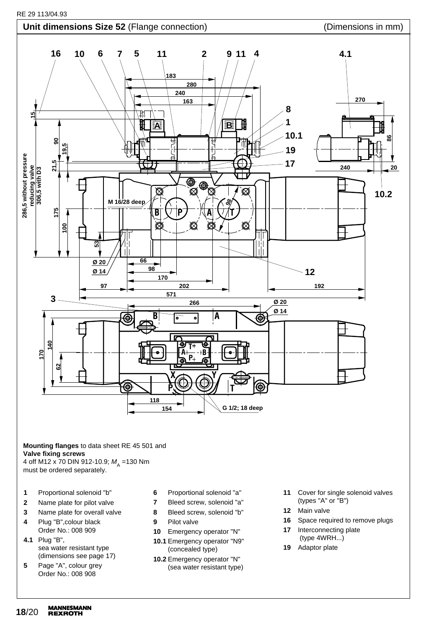



#### **Mounting flanges** to data sheet RE 45 501 and **Valve fixing screws** 4 off M12 x 70 DIN 912-10.9;  $M_A$  =130 Nm

must be ordered separately.

- **1** Proportional solenoid "b"
- **2** Name plate for pilot valve
- **3** Name plate for overall valve
- **4** Plug "B",colour black Order No.: 008 909
- **4.1** Plug "B", sea water resistant type (dimensions see page 17)
- **5** Page "A", colour grey Order No.: 008 908
- **6** Proportional solenoid "a"
- **7** Bleed screw, solenoid "a"
- **8** Bleed screw, solenoid "b"
- **9** Pilot valve
- **10** Emergency operator "N"
- **10.1** Emergency operator "N9" (concealed type)
- **10.2** Emergency operator "N" (sea water resistant type)
- **11** Cover for single solenoid valves (types "A" or "B")
- **12** Main valve
- **16** Space required to remove plugs
- **17** Interconnecting plate (type 4WRH...)
- **19** Adaptor plate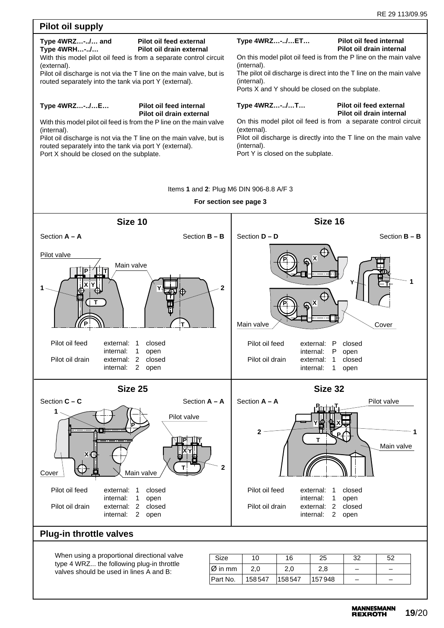